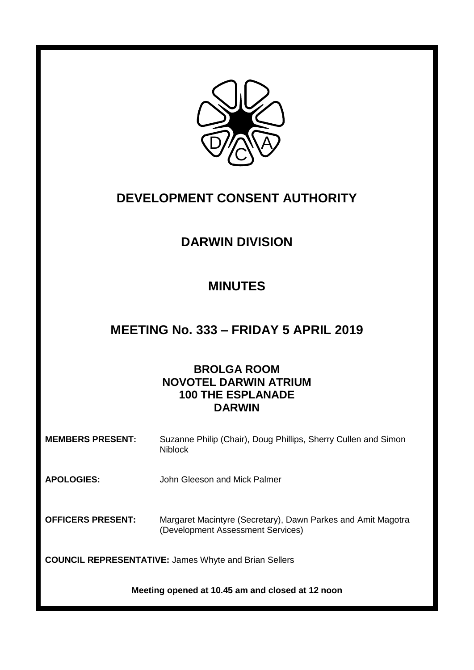

# **DEVELOPMENT CONSENT AUTHORITY**

# **DARWIN DIVISION**

# **MINUTES**

# **MEETING No. 333 – FRIDAY 5 APRIL 2019**

# **BROLGA ROOM NOVOTEL DARWIN ATRIUM 100 THE ESPLANADE DARWIN**

| <b>MEMBERS PRESENT:</b>                                      | Suzanne Philip (Chair), Doug Phillips, Sherry Cullen and Simon<br><b>Niblock</b>                  |
|--------------------------------------------------------------|---------------------------------------------------------------------------------------------------|
| <b>APOLOGIES:</b>                                            | John Gleeson and Mick Palmer                                                                      |
| <b>OFFICERS PRESENT:</b>                                     | Margaret Macintyre (Secretary), Dawn Parkes and Amit Magotra<br>(Development Assessment Services) |
| <b>COUNCIL REPRESENTATIVE: James Whyte and Brian Sellers</b> |                                                                                                   |

**Meeting opened at 10.45 am and closed at 12 noon**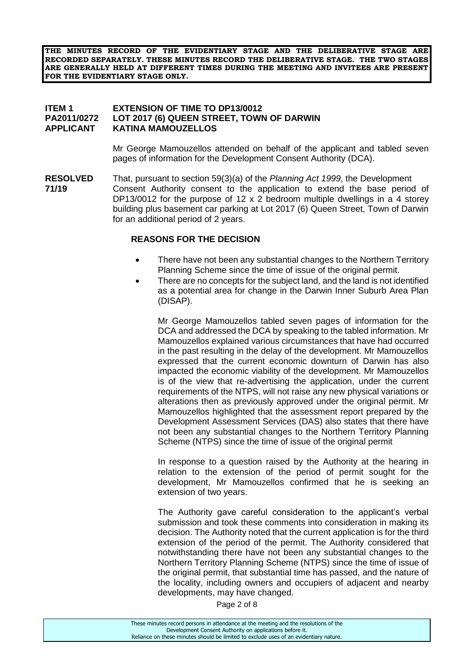**THE MINUTES RECORD OF THE EVIDENTIARY STAGE AND THE DELIBERATIVE STAGE ARE RECORDED SEPARATELY. THESE MINUTES RECORD THE DELIBERATIVE STAGE. THE TWO STAGES ARE GENERALLY HELD AT DIFFERENT TIMES DURING THE MEETING AND INVITEES ARE PRESENT FOR THE EVIDENTIARY STAGE ONLY.**

### **ITEM 1 EXTENSION OF TIME TO DP13/0012 PA2011/0272 LOT 2017 (6) QUEEN STREET, TOWN OF DARWIN APPLICANT KATINA MAMOUZELLOS**

Mr George Mamouzellos attended on behalf of the applicant and tabled seven pages of information for the Development Consent Authority (DCA).

**RESOLVED** That, pursuant to section 59(3)(a) of the *Planning Act 1999*, the Development **71/19** Consent Authority consent to the application to extend the base period of DP13/0012 for the purpose of 12 x 2 bedroom multiple dwellings in a 4 storey building plus basement car parking at Lot 2017 (6) Queen Street, Town of Darwin for an additional period of 2 years.

### **REASONS FOR THE DECISION**

- There have not been any substantial changes to the Northern Territory Planning Scheme since the time of issue of the original permit.
- There are no concepts for the subject land, and the land is not identified as a potential area for change in the Darwin Inner Suburb Area Plan (DISAP).

Mr George Mamouzellos tabled seven pages of information for the DCA and addressed the DCA by speaking to the tabled information. Mr Mamouzellos explained various circumstances that have had occurred in the past resulting in the delay of the development. Mr Mamouzellos expressed that the current economic downturn of Darwin has also impacted the economic viability of the development. Mr Mamouzellos is of the view that re-advertising the application, under the current requirements of the NTPS, will not raise any new physical variations or alterations then as previously approved under the original permit. Mr Mamouzellos highlighted that the assessment report prepared by the Development Assessment Services (DAS) also states that there have not been any substantial changes to the Northern Territory Planning Scheme (NTPS) since the time of issue of the original permit

In response to a question raised by the Authority at the hearing in relation to the extension of the period of permit sought for the development, Mr Mamouzellos confirmed that he is seeking an extension of two years.

The Authority gave careful consideration to the applicant's verbal submission and took these comments into consideration in making its decision. The Authority noted that the current application is for the third extension of the period of the permit. The Authority considered that notwithstanding there have not been any substantial changes to the Northern Territory Planning Scheme (NTPS) since the time of issue of the original permit, that substantial time has passed, and the nature of the locality, including owners and occupiers of adjacent and nearby developments, may have changed.

Page 2 of 8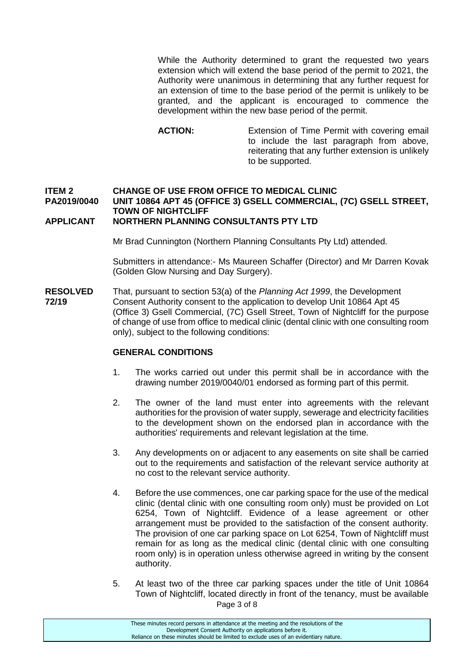While the Authority determined to grant the requested two years extension which will extend the base period of the permit to 2021, the Authority were unanimous in determining that any further request for an extension of time to the base period of the permit is unlikely to be granted, and the applicant is encouraged to commence the development within the new base period of the permit.

**ACTION:** Extension of Time Permit with covering email to include the last paragraph from above, reiterating that any further extension is unlikely to be supported.

#### **ITEM 2 CHANGE OF USE FROM OFFICE TO MEDICAL CLINIC PA2019/0040 UNIT 10864 APT 45 (OFFICE 3) GSELL COMMERCIAL, (7C) GSELL STREET, TOWN OF NIGHTCLIFF APPLICANT NORTHERN PLANNING CONSULTANTS PTY LTD**

Mr Brad Cunnington (Northern Planning Consultants Pty Ltd) attended.

Submitters in attendance:- Ms Maureen Schaffer (Director) and Mr Darren Kovak (Golden Glow Nursing and Day Surgery).

**RESOLVED** That, pursuant to section 53(a) of the *Planning Act 1999*, the Development **72/19** Consent Authority consent to the application to develop Unit 10864 Apt 45 (Office 3) Gsell Commercial, (7C) Gsell Street, Town of Nightcliff for the purpose of change of use from office to medical clinic (dental clinic with one consulting room only), subject to the following conditions:

### **GENERAL CONDITIONS**

- 1. The works carried out under this permit shall be in accordance with the drawing number 2019/0040/01 endorsed as forming part of this permit.
- 2. The owner of the land must enter into agreements with the relevant authorities for the provision of water supply, sewerage and electricity facilities to the development shown on the endorsed plan in accordance with the authorities' requirements and relevant legislation at the time.
- 3. Any developments on or adjacent to any easements on site shall be carried out to the requirements and satisfaction of the relevant service authority at no cost to the relevant service authority.
- 4. Before the use commences, one car parking space for the use of the medical clinic (dental clinic with one consulting room only) must be provided on Lot 6254, Town of Nightcliff. Evidence of a lease agreement or other arrangement must be provided to the satisfaction of the consent authority. The provision of one car parking space on Lot 6254, Town of Nightcliff must remain for as long as the medical clinic (dental clinic with one consulting room only) is in operation unless otherwise agreed in writing by the consent authority.
- Page 3 of 8 5. At least two of the three car parking spaces under the title of Unit 10864 Town of Nightcliff, located directly in front of the tenancy, must be available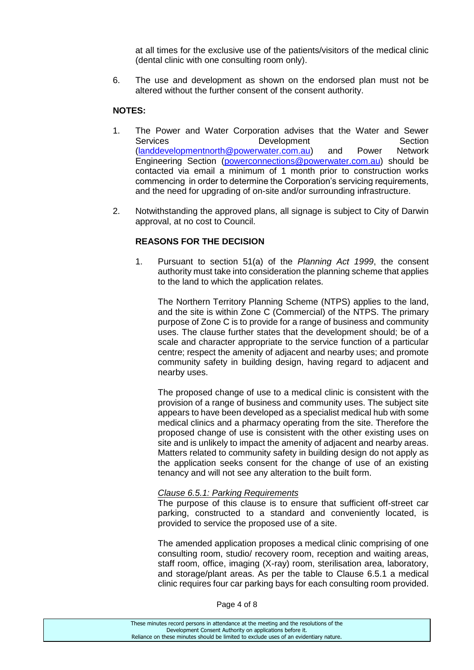at all times for the exclusive use of the patients/visitors of the medical clinic (dental clinic with one consulting room only).

6. The use and development as shown on the endorsed plan must not be altered without the further consent of the consent authority.

## **NOTES:**

- 1. The Power and Water Corporation advises that the Water and Sewer Services **Development** Development Section [\(landdevelopmentnorth@powerwater.com.au\)](mailto:landdevelopmentnorth@powerwater.com.au) and Power Network Engineering Section [\(powerconnections@powerwater.com.au\)](mailto:powerconnections@powerwater.com.au) should be contacted via email a minimum of 1 month prior to construction works commencing in order to determine the Corporation's servicing requirements, and the need for upgrading of on-site and/or surrounding infrastructure.
- 2. Notwithstanding the approved plans, all signage is subject to City of Darwin approval, at no cost to Council.

## **REASONS FOR THE DECISION**

1. Pursuant to section 51(a) of the *Planning Act 1999*, the consent authority must take into consideration the planning scheme that applies to the land to which the application relates.

The Northern Territory Planning Scheme (NTPS) applies to the land, and the site is within Zone C (Commercial) of the NTPS. The primary purpose of Zone C is to provide for a range of business and community uses. The clause further states that the development should; be of a scale and character appropriate to the service function of a particular centre; respect the amenity of adjacent and nearby uses; and promote community safety in building design, having regard to adjacent and nearby uses.

The proposed change of use to a medical clinic is consistent with the provision of a range of business and community uses. The subject site appears to have been developed as a specialist medical hub with some medical clinics and a pharmacy operating from the site. Therefore the proposed change of use is consistent with the other existing uses on site and is unlikely to impact the amenity of adjacent and nearby areas. Matters related to community safety in building design do not apply as the application seeks consent for the change of use of an existing tenancy and will not see any alteration to the built form.

#### *Clause 6.5.1: Parking Requirements*

The purpose of this clause is to ensure that sufficient off-street car parking, constructed to a standard and conveniently located, is provided to service the proposed use of a site.

The amended application proposes a medical clinic comprising of one consulting room, studio/ recovery room, reception and waiting areas, staff room, office, imaging (X-ray) room, sterilisation area, laboratory, and storage/plant areas. As per the table to Clause 6.5.1 a medical clinic requires four car parking bays for each consulting room provided.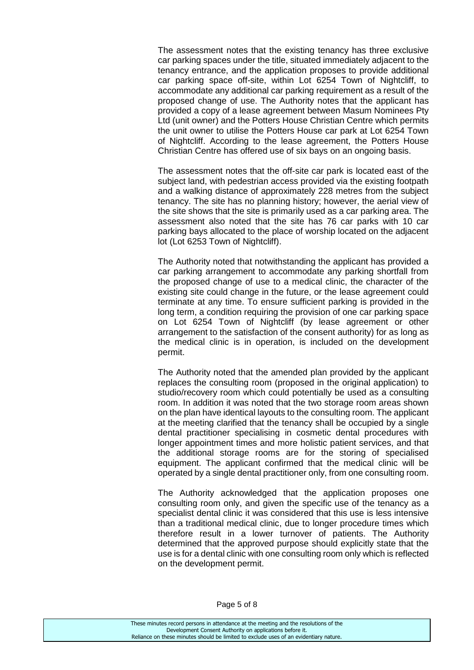The assessment notes that the existing tenancy has three exclusive car parking spaces under the title, situated immediately adjacent to the tenancy entrance, and the application proposes to provide additional car parking space off-site, within Lot 6254 Town of Nightcliff, to accommodate any additional car parking requirement as a result of the proposed change of use. The Authority notes that the applicant has provided a copy of a lease agreement between Masum Nominees Pty Ltd (unit owner) and the Potters House Christian Centre which permits the unit owner to utilise the Potters House car park at Lot 6254 Town of Nightcliff. According to the lease agreement, the Potters House Christian Centre has offered use of six bays on an ongoing basis.

The assessment notes that the off-site car park is located east of the subject land, with pedestrian access provided via the existing footpath and a walking distance of approximately 228 metres from the subject tenancy. The site has no planning history; however, the aerial view of the site shows that the site is primarily used as a car parking area. The assessment also noted that the site has 76 car parks with 10 car parking bays allocated to the place of worship located on the adjacent lot (Lot 6253 Town of Nightcliff).

The Authority noted that notwithstanding the applicant has provided a car parking arrangement to accommodate any parking shortfall from the proposed change of use to a medical clinic, the character of the existing site could change in the future, or the lease agreement could terminate at any time. To ensure sufficient parking is provided in the long term, a condition requiring the provision of one car parking space on Lot 6254 Town of Nightcliff (by lease agreement or other arrangement to the satisfaction of the consent authority) for as long as the medical clinic is in operation, is included on the development permit.

The Authority noted that the amended plan provided by the applicant replaces the consulting room (proposed in the original application) to studio/recovery room which could potentially be used as a consulting room. In addition it was noted that the two storage room areas shown on the plan have identical layouts to the consulting room. The applicant at the meeting clarified that the tenancy shall be occupied by a single dental practitioner specialising in cosmetic dental procedures with longer appointment times and more holistic patient services, and that the additional storage rooms are for the storing of specialised equipment. The applicant confirmed that the medical clinic will be operated by a single dental practitioner only, from one consulting room.

The Authority acknowledged that the application proposes one consulting room only, and given the specific use of the tenancy as a specialist dental clinic it was considered that this use is less intensive than a traditional medical clinic, due to longer procedure times which therefore result in a lower turnover of patients. The Authority determined that the approved purpose should explicitly state that the use is for a dental clinic with one consulting room only which is reflected on the development permit.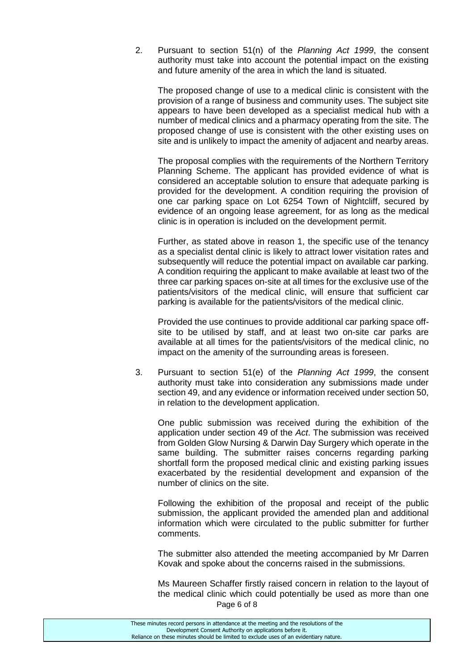2. Pursuant to section 51(n) of the *Planning Act 1999*, the consent authority must take into account the potential impact on the existing and future amenity of the area in which the land is situated.

The proposed change of use to a medical clinic is consistent with the provision of a range of business and community uses. The subject site appears to have been developed as a specialist medical hub with a number of medical clinics and a pharmacy operating from the site. The proposed change of use is consistent with the other existing uses on site and is unlikely to impact the amenity of adjacent and nearby areas.

The proposal complies with the requirements of the Northern Territory Planning Scheme. The applicant has provided evidence of what is considered an acceptable solution to ensure that adequate parking is provided for the development. A condition requiring the provision of one car parking space on Lot 6254 Town of Nightcliff, secured by evidence of an ongoing lease agreement, for as long as the medical clinic is in operation is included on the development permit.

Further, as stated above in reason 1, the specific use of the tenancy as a specialist dental clinic is likely to attract lower visitation rates and subsequently will reduce the potential impact on available car parking. A condition requiring the applicant to make available at least two of the three car parking spaces on-site at all times for the exclusive use of the patients/visitors of the medical clinic, will ensure that sufficient car parking is available for the patients/visitors of the medical clinic.

Provided the use continues to provide additional car parking space offsite to be utilised by staff, and at least two on-site car parks are available at all times for the patients/visitors of the medical clinic, no impact on the amenity of the surrounding areas is foreseen.

3. Pursuant to section 51(e) of the *Planning Act 1999*, the consent authority must take into consideration any submissions made under section 49, and any evidence or information received under section 50, in relation to the development application.

One public submission was received during the exhibition of the application under section 49 of the *Act*. The submission was received from Golden Glow Nursing & Darwin Day Surgery which operate in the same building. The submitter raises concerns regarding parking shortfall form the proposed medical clinic and existing parking issues exacerbated by the residential development and expansion of the number of clinics on the site.

Following the exhibition of the proposal and receipt of the public submission, the applicant provided the amended plan and additional information which were circulated to the public submitter for further comments.

The submitter also attended the meeting accompanied by Mr Darren Kovak and spoke about the concerns raised in the submissions.

Page 6 of 8 Ms Maureen Schaffer firstly raised concern in relation to the layout of the medical clinic which could potentially be used as more than one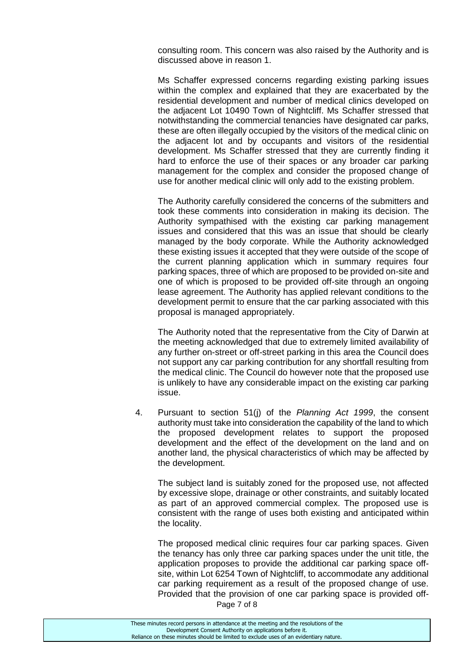consulting room. This concern was also raised by the Authority and is discussed above in reason 1.

Ms Schaffer expressed concerns regarding existing parking issues within the complex and explained that they are exacerbated by the residential development and number of medical clinics developed on the adjacent Lot 10490 Town of Nightcliff. Ms Schaffer stressed that notwithstanding the commercial tenancies have designated car parks, these are often illegally occupied by the visitors of the medical clinic on the adjacent lot and by occupants and visitors of the residential development. Ms Schaffer stressed that they are currently finding it hard to enforce the use of their spaces or any broader car parking management for the complex and consider the proposed change of use for another medical clinic will only add to the existing problem.

The Authority carefully considered the concerns of the submitters and took these comments into consideration in making its decision. The Authority sympathised with the existing car parking management issues and considered that this was an issue that should be clearly managed by the body corporate. While the Authority acknowledged these existing issues it accepted that they were outside of the scope of the current planning application which in summary requires four parking spaces, three of which are proposed to be provided on-site and one of which is proposed to be provided off-site through an ongoing lease agreement. The Authority has applied relevant conditions to the development permit to ensure that the car parking associated with this proposal is managed appropriately.

The Authority noted that the representative from the City of Darwin at the meeting acknowledged that due to extremely limited availability of any further on-street or off-street parking in this area the Council does not support any car parking contribution for any shortfall resulting from the medical clinic. The Council do however note that the proposed use is unlikely to have any considerable impact on the existing car parking issue.

4. Pursuant to section 51(j) of the *Planning Act 1999*, the consent authority must take into consideration the capability of the land to which the proposed development relates to support the proposed development and the effect of the development on the land and on another land, the physical characteristics of which may be affected by the development.

The subject land is suitably zoned for the proposed use, not affected by excessive slope, drainage or other constraints, and suitably located as part of an approved commercial complex. The proposed use is consistent with the range of uses both existing and anticipated within the locality.

Page 7 of 8 The proposed medical clinic requires four car parking spaces. Given the tenancy has only three car parking spaces under the unit title, the application proposes to provide the additional car parking space offsite, within Lot 6254 Town of Nightcliff, to accommodate any additional car parking requirement as a result of the proposed change of use. Provided that the provision of one car parking space is provided off